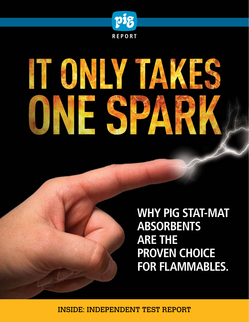

# IT ONLY TAKES IESP

**WHY PIG STAT-MAT ABSORBENTS ARE THE PROVEN CHOICE FOR FLAMMABLES.** 

INSIDE: INDEPENDENT TEST REPORT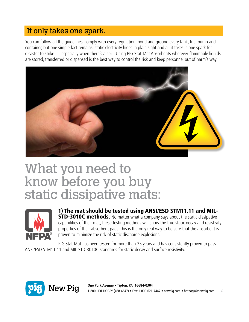#### It only takes one spark.

You can follow all the guidelines, comply with every regulation, bond and ground every tank, fuel pump and container, but one simple fact remains: static electricity hides in plain sight and all it takes is one spark for disaster to strike — especially when there's a spill. Using PIG Stat-Mat Absorbents wherever flammable liquids are stored, transferred or dispensed is the best way to control the risk and keep personnel out of harm's way.



## What you need to know before you buy static dissipative mats:



1) The mat should be tested using ANSI/ESD STM11.11 and MIL-**STD-3010C methods.** No matter what a company says about the static dissipative capabilities of their mat, these testing methods will show the true static decay and resistivity properties of their absorbent pads. This is the only real way to be sure that the absorbent is proven to minimize the risk of static discharge explosions.

PIG Stat-Mat has been tested for more than 25 years and has consistently proven to pass ANSI/ESD STM11.11 and MIL-STD-3010C standards for static decay and surface resistivity.

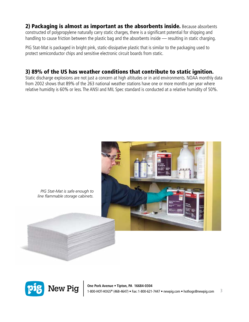#### 2) Packaging is almost as important as the absorbents inside. Because absorbents constructed of polypropylene naturally carry static charges, there is a significant potential for shipping and handling to cause friction between the plastic bag and the absorbents inside — resulting in static charging.

PIG Stat-Mat is packaged in bright pink, static-dissipative plastic that is similar to the packaging used to protect semiconductor chips and sensitive electronic circuit boards from static.

#### 3) 89% of the US has weather conditions that contribute to static ignition.

Static discharge explosions are not just a concern at high altitudes or in arid environments. NOAA monthly data from 2002 shows that 89% of the 263 national weather stations have one or more months per year where relative humidity is 60% or less. The ANSI and MIL Spec standard is conducted at a relative humidity of 50%.



*PIG Stat-Mat is safe enough to line flammable storage cabinets.*

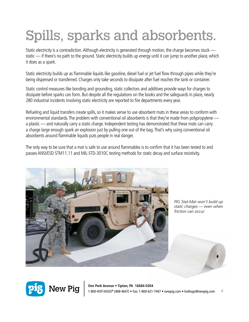# Spills, sparks and absorbents.

Static electricity is a contradiction. Although electricity is generated through motion, the charge becomes stuck static — if there's no path to the ground. Static electricity builds up energy until it can jump to another place, which it does as a spark.

Static electricity builds up as flammable liquids like gasoline, diesel fuel or jet fuel flow through pipes while they're being dispensed or transferred. Charges only take seconds to dissipate after fuel reaches the tank or container.

Static control measures like bonding and grounding, static collectors and additives provide ways for charges to dissipate before sparks can form. But despite all the regulations on the books and the safeguards in place, nearly 280 industrial incidents involving static electricity are reported to fire departments every year.

Refueling and liquid transfers create spills, so it makes sense to use absorbent mats in these areas to conform with environmental standards. The problem with conventional oil absorbents is that they're made from polypropylene a plastic — and naturally carry a static charge. Independent testing has demonstrated that these mats can carry a charge large enough spark an explosion just by pulling one out of the bag. That's why using conventional oil absorbents around flammable liquids puts people in real danger.

The only way to be sure that a mat is safe to use around flammables is to confirm that it has been tested to and passes ANSI/ESD STM11.11 and MIL-STD-3010C testing methods for static decay and surface resistivity.



*PIG Stat-Mat won't build up static charges — even when friction can occur.* 

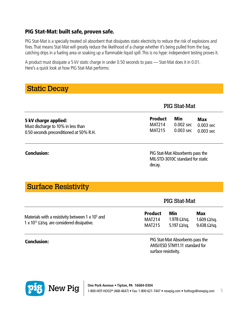#### PIG Stat-Mat: built safe, proven safe.

PIG Stat-Mat is a specially treated oil absorbent that dissipates static electricity to reduce the risk of explosions and fires. That means Stat-Mat will greatly reduce the likelihood of a charge whether it's being pulled from the bag, catching drips in a fueling area or soaking up a flammable liquid spill. This is no hype: independent testing proves it.

A product must dissipate a 5 kV static charge in under 0.50 seconds to pass — Stat-Mat does it in 0.01. Here's a quick look at how PIG Stat-Mat performs:

#### Static Decay

|                                         | <b>PIG Stat-Mat</b> |             |             |
|-----------------------------------------|---------------------|-------------|-------------|
| 5 kV charge applied:                    | <b>Product</b>      | Min         | Max         |
| Must discharge to 10% in less than      | <b>MAT214</b>       | 0.002 sec   | $0.003$ sec |
| 0.50 seconds preconditioned at 50% R.H. | <b>MAT215</b>       | $0.003$ sec | $0.003$ sec |

#### Conclusion:

PIG Stat-Mat Absorbents pass the MIL-STD-3010C standard for static decay.

PIG Stat-Mat

#### Surface Resistivity

|                                                                                                                            | <b>LIMMULLINUL</b>                        |                                           |                                                   |  |
|----------------------------------------------------------------------------------------------------------------------------|-------------------------------------------|-------------------------------------------|---------------------------------------------------|--|
| Materials with a resistivity between $1 \times 10^5$ and<br>1 x 10 <sup>12</sup> $\Omega$ /sq. are considered dissipative. | <b>Product</b><br>MAT214<br><b>MAT215</b> | Min<br>1.978 Ω/sq.<br>5.197 $\Omega$ /sq. | Max<br>$1.609 \Omega/sq$ .<br>9.438 $\Omega$ /sq. |  |

#### Conclusion:

PIG Stat-Mat Absorbents pass the ANSI/ESD STM11.11 standard for surface resistivity.